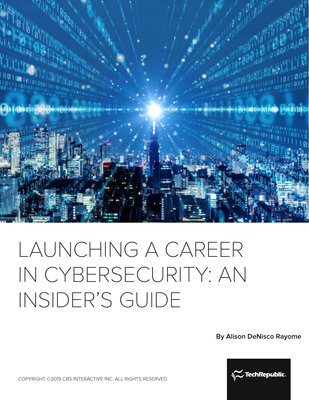



# LAUNCHING A CAREER IN CYBERSECURITY: AN INSIDER'S GUIDE

**By Alison DeNisco Rayome**



COPYRIGHT ©2019 CBS INTERACTIVE INC. ALL RIGHTS RESERVED.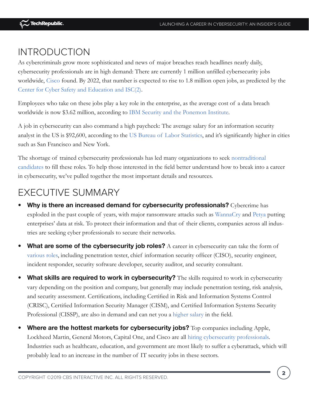## INTRODUCTION

As cybercriminals grow more sophisticated and news of major breaches reach headlines nearly daily, cybersecurity professionals are in high demand: There are currently 1 million unfilled cybersecurity jobs worldwide, [Cisco](https://www.cisco.com/c/dam/en/us/products/collateral/security/cybersecurity-talent.pdf) found. By 2022, that number is expected to rise to 1.8 million open jobs, as predicted by the [Center for Cyber Safety and Education and ISC\(2\).](https://iamcybersafe.org/gisws/)

Employees who take on these jobs play a key role in the enterprise, as the average cost of a data breach worldwide is now \$3.62 million, according to [IBM Security and the Ponemon Institute.](https://www.techrepublic.com/article/data-breach-costs-are-dropping-but-still-3-62-million-on-average-report-says/)

A job in cybersecurity can also command a high paycheck: The average salary for an information security analyst in the US is \$92,600, according to the [US Bureau of Labor Statistics](https://www.bls.gov/ooh/computer-and-information-technology/information-security-analysts.htm), and it's significantly higher in cities such as San Francisco and New York.

The shortage of trained cybersecurity professionals has led many organizations to seek [nontraditional](https://www.techrepublic.com/article/rise-of-the-accidental-cybersecurity-professional/)  [candidates](https://www.techrepublic.com/article/rise-of-the-accidental-cybersecurity-professional/) to fill these roles. To help those interested in the field better understand how to break into a career in cybersecurity, we've pulled together the most important details and resources.

## EXECUTIVE SUMMARY

- **Why is there an increased demand for cybersecurity professionals?** Cybercrime has exploded in the past couple of years, with major ransomware attacks such as [WannaCry](https://www.techrepublic.com/article/wannacry-the-smart-persons-guide/) and [Petya](http://www.zdnet.com/article/petya-ransomware-attack-what-it-is-and-why-this-is-happening-again/) putting enterprises' data at risk. To protect their information and that of their clients, companies across all industries are seeking cyber professionals to secure their networks.
- What are some of the cybersecurity job roles? A career in cybersecurity can take the form of [various roles](https://www.techrepublic.com/article/want-a-career-in-cybersecurity-here-are-10-jobs-to-explore/), including penetration tester, chief information security officer (CISO), security engineer, incident responder, security software developer, security auditor, and security consultant.
- **What skills are required to work in cybersecurity?** The skills required to work in cybersecurity vary depending on the position and company, but generally may include penetration testing, risk analysis, and security assessment. Certifications, including Certified in Risk and Information Systems Control (CRISC), Certified Information Security Manager (CISM), and Certified Information Systems Security Professional (CISSP), are also in demand and can net you a [higher salary](https://www.techrepublic.com/article/the-top-5-it-certifications-that-will-increase-your-salary/) in the field.
- **Where are the hottest markets for cybersecurity jobs?** Top companies including Apple, Lockheed Martin, General Motors, Capital One, and Cisco are all [hiring cybersecurity professionals.](https://www.techrepublic.com/article/top-10-companies-hiring-cybersecurity-professionals/) Industries such as healthcare, education, and government are most likely to suffer a cyberattack, which will probably lead to an increase in the number of IT security jobs in these sectors.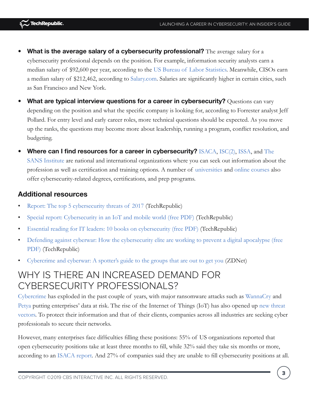- **What is the average salary of a cybersecurity professional?** The average salary for a cybersecurity professional depends on the position. For example, information security analysts earn a median salary of \$92,600 per year, according to the [US Bureau of Labor Statistics](https://www.bls.gov/ooh/computer-and-information-technology/information-security-analysts.htm). Meanwhile, CISOs earn a median salary of \$212,462, according to [Salary.com](http://swz.salary.com/SalaryWizard/Chief-Information-Security-Officer-Salary-Details.aspx). Salaries are significantly higher in certain cities, such as San Francisco and New York.
- **What are typical interview questions for a career in cybersecurity?** Questions can vary depending on the position and what the specific company is looking for, according to Forrester analyst Jeff Pollard. For entry level and early career roles, more technical questions should be expected. As you move up the ranks, the questions may become more about leadership, running a program, conflict resolution, and budgeting.
- **Where can I find resources for a career in cybersecurity?** [ISACA,](https://www.isaca.org/) [ISC\(2\)](https://www.isc2.org/), [ISSA](http://www.issa.org/), and [The](https://www.sans.org/)  [SANS Institute](https://www.sans.org/) are national and international organizations where you can seek out information about the profession as well as certification and training options. A number of [universities](https://www.techrepublic.com/article/10-programs-to-help-you-break-into-a-cybersecurity-career/) and [online courses](https://academy.techrepublic.com/deals/it-security) also offer cybersecurity-related degrees, certifications, and prep programs.

- [Report: The top 5 cybersecurity threats of 2017](https://www.techrepublic.com/article/report-the-top-5-cybersecurity-threats-of-2017/) (TechRepublic)
- [Special report: Cybersecurity in an IoT and mobile world \(free PDF\)](https://www.techrepublic.com/resource-library/whitepapers/special-report-cybersecurity-in-an-iot-and-mobile-world-free-pdf/) (TechRepublic)
- [Essential reading for IT leaders: 10 books on cybersecurity \(free PDF\)](https://www.techrepublic.com/resource-library/whitepapers/essential-reading-for-it-leaders-10-books-on-cybersecurity-free-pdf/) (TechRepublic)
- [Defending against cyberwar: How the cybersecurity elite are working to prevent a digital apocalypse \(free](https://www.techrepublic.com/resource-library/whitepapers/defending-against-cyberwar-how-the-cybersecurity-elite-are-working-to-prevent-a-digital-apocalypse-free-pdf/)  [PDF\)](https://www.techrepublic.com/resource-library/whitepapers/defending-against-cyberwar-how-the-cybersecurity-elite-are-working-to-prevent-a-digital-apocalypse-free-pdf/) (TechRepublic)
- [Cybercrime and cyberwar: A spotter's guide to the groups that are out to get you](http://www.zdnet.com/article/cybercrime-and-cyberwar-a-spotters-guide-to-the-groups-that-are-out-to-get-you/) (ZDNet)

## WHY IS THERE AN INCREASED DEMAND FOR CYBERSECURITY PROFESSIONALS?

[Cybercrime](https://www.techrepublic.com/article/video-top-5-cybercrime-vectors/) has exploded in the past couple of years, with major ransomware attacks such as [WannaCry](https://www.techrepublic.com/article/wannacry-the-smart-persons-guide/) and [Petya](http://www.zdnet.com/article/petya-ransomware-attack-what-it-is-and-why-this-is-happening-again/) putting enterprises' data at risk. The rise of the Internet of Things (IoT) has also opened up [new threat](https://www.techrepublic.com/article/here-are-the-biggest-iot-security-threats-facing-the-enterprise-in-2017/)  [vectors](https://www.techrepublic.com/article/here-are-the-biggest-iot-security-threats-facing-the-enterprise-in-2017/). To protect their information and that of their clients, companies across all industries are seeking cyber professionals to secure their networks.

However, many enterprises face difficulties filling these positions: 55% of US organizations reported that open cybersecurity positions take at least three months to fill, while 32% said they take six months or more, according to an [ISACA report](https://www.techrepublic.com/article/4-tips-to-help-your-business-recruit-and-keep-cybersecurity-pros/). And 27% of companies said they are unable to fill cybersecurity positions at all.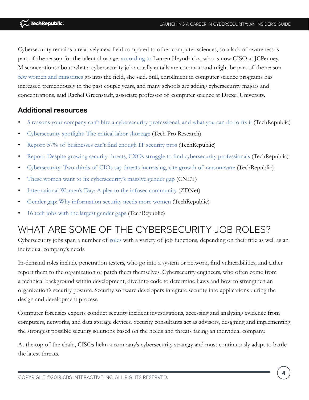Cybersecurity remains a relatively new field compared to other computer sciences, so a lack of awareness is part of the reason for the talent shortage, [according to](https://www.techrepublic.com/article/help-wanted-universities-double-down-on-security-to-help-fill-1-million-open-jobs/) Lauren Heyndrickx, who is now CISO at JCPenney. Misconceptions about what a cybersecurity job actually entails are common and might be part of the reason [few women and minorities](https://www.techrepublic.com/article/the-world-needs-more-cybersecurity-pros-but-millennials-arent-interested-in-the-field/) go into the field, she said. Still, enrollment in computer science programs has increased tremendously in the past couple years, and many schools are adding cybersecurity majors and concentrations, said Rachel Greenstadt, associate professor of computer science at Drexel University.

#### **Additional resources**

- [5 reasons your company can't hire a cybersecurity professional, and what you can do to fix it](https://www.techrepublic.com/article/5-reasons-your-company-cant-hire-a-cybersecurity-professional-and-what-you-can-do-to-fix-it/) (TechRepublic)
- [Cybersecurity spotlight: The critical labor shortage](http://www.techproresearch.com/downloads/cybersecurity-spotlight-the-critical-labor-shortage/) (Tech Pro Research)
- [Report: 57% of businesses can't find enough IT security pros](https://www.techrepublic.com/article/report-57-of-businesses-cant-find-enough-it-security-pros/) (TechRepublic)
- [Report: Despite growing security threats, CXOs struggle to find cybersecurity professionals](https://www.techrepublic.com/article/report-despite-growing-security-threats-cxos-struggle-to-find-cybersecurity-professionals/) (TechRepublic)
- [Cybersecurity: Two-thirds of CIOs say threats increasing, cite growth of ransomware](https://www.techrepublic.com/article/cybersecurity-two-thirds-of-cios-say-threats-increasing-cite-growth-of-ransomware/) (TechRepublic)
- [These women want to fix cybersecurity's massive gender gap](https://www.cnet.com/news/women-in-cybersecurity-push-for-cultural-shift-at-defcon/) (CNET)
- [International Women's Day: A plea to the infosec community](http://www.zdnet.com/article/international-womens-day-a-plea-to-the-infosec-community/) (ZDNet)
- [Gender gap: Why information security needs more women](https://www.techrepublic.com/blog/it-security/gender-gap-why-information-security-needs-more-women/) (TechRepublic)
- [16 tech jobs with the largest gender gaps](https://www.techrepublic.com/article/16-tech-jobs-with-the-largest-gender-gaps/) (TechRepublic)

# WHAT ARE SOME OF THE CYBERSECURITY JOB ROLES?

Cybersecurity jobs span a number of [roles](https://www.techrepublic.com/article/want-a-career-in-cybersecurity-here-are-10-jobs-to-explore/) with a variety of job functions, depending on their title as well as an individual company's needs.

In-demand roles include penetration testers, who go into a system or network, find vulnerabilities, and either report them to the organization or patch them themselves. Cybersecurity engineers, who often come from a technical background within development, dive into code to determine flaws and how to strengthen an organization's security posture. Security software developers integrate security into applications during the design and development process.

Computer forensics experts conduct security incident investigations, accessing and analyzing evidence from computers, networks, and data storage devices. Security consultants act as advisors, designing and implementing the strongest possible security solutions based on the needs and threats facing an individual company.

At the top of the chain, CISOs helm a company's cybersecurity strategy and must continuously adapt to battle the latest threats.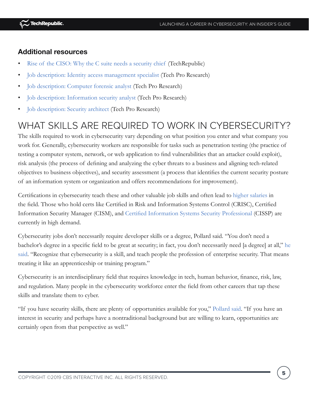- [Rise of the CISO: Why the C suite needs a security chief](https://www.techrepublic.com/article/rise-of-the-ciso-why-the-c-suite-needs-a-security-chief/) (TechRepublic)
- [Job description: Identity access management specialist](http://www.techproresearch.com/downloads/job-description-copy1/) (Tech Pro Research)
- [Job description: Computer forensic analyst](http://www.techproresearch.com/downloads/job-description-computer-forensic-analyst/) (Tech Pro Research)
- [Job description: Information security analyst](http://www.techproresearch.com/downloads/job-description-information-security-analyst/) (Tech Pro Research)
- [Job description: Security architect](http://www.techproresearch.com/downloads/job-description-security-architect/) (Tech Pro Research)

## WHAT SKILLS ARE REQUIRED TO WORK IN CYBERSECURITY?

The skills required to work in cybersecurity vary depending on what position you enter and what company you work for. Generally, cybersecurity workers are responsible for tasks such as penetration testing (the practice of testing a computer system, network, or web application to find vulnerabilities that an attacker could exploit), risk analysis (the process of defining and analyzing the cyber threats to a business and aligning tech-related objectives to business objectives), and security assessment (a process that identifies the current security posture of an information system or organization and offers recommendations for improvement).

Certifications in cybersecurity teach these and other valuable job skills and often lead to [higher salaries](https://www.techrepublic.com/article/the-top-5-it-certifications-that-will-increase-your-salary/) in the field. Those who hold certs like Certified in Risk and Information Systems Control (CRISC), Certified Information Security Manager (CISM), and [Certified Information Systems Security Professional](https://academy.techrepublic.com/sales/cissp-certified-information-systems-security-professional) (CISSP) are currently in high demand.

Cybersecurity jobs don't necessarily require developer skills or a degree, Pollard said. "You don't need a bachelor's degree in a specific field to be great at security; in fact, you don't necessarily need [a degree] at all," [he](https://www.techrepublic.com/article/the-world-needs-more-cybersecurity-pros-but-millennials-arent-interested-in-the-field/)  [said](https://www.techrepublic.com/article/the-world-needs-more-cybersecurity-pros-but-millennials-arent-interested-in-the-field/). "Recognize that cybersecurity is a skill, and teach people the profession of enterprise security. That means treating it like an apprenticeship or training program."

Cybersecurity is an interdisciplinary field that requires knowledge in tech, human behavior, finance, risk, law, and regulation. Many people in the cybersecurity workforce enter the field from other careers that tap these skills and translate them to cyber.

"If you have security skills, there are plenty of opportunities available for you," [Pollard said](https://www.techrepublic.com/article/5-reasons-your-company-cant-hire-a-cybersecurity-professional-and-what-you-can-do-to-fix-it/). "If you have an interest in security and perhaps have a nontraditional background but are willing to learn, opportunities are certainly open from that perspective as well."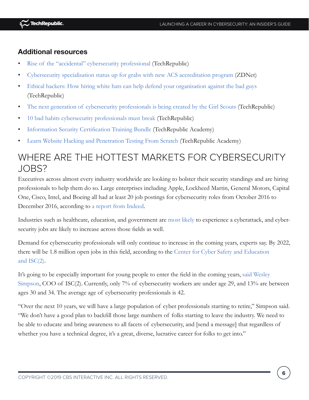- [Rise of the "accidental" cybersecurity professional](https://www.techrepublic.com/article/rise-of-the-accidental-cybersecurity-professional/) (TechRepublic)
- [Cybersecurity specialisation status up for grabs with new ACS accreditation program](http://www.zdnet.com/article/cybersecurity-specialisation-status-up-for-grabs-with-new-acs-accreditation-program/) (ZDNet)
- [Ethical hackers: How hiring white hats can help defend your organisation against the bad guys](https://www.techrepublic.com/article/ethical-hackers-how-hiring-white-hats-can-help-defend-your-organisation-against-the-bad-guys/) (TechRepublic)
- [The next generation of cybersecurity professionals is being created by the Girl Scouts](https://www.techrepublic.com/article/the-next-generation-of-cybersecurity-professionals-are-being-created-by-the-girl-scouts/) (TechRepublic)
- [10 bad habits cybersecurity professionals must break](https://www.techrepublic.com/article/10-bad-habits-cybersecurity-professionals-must-break/) (TechRepublic)
- [Information Security Certification Training Bundle](https://academy.techrepublic.com/sales/information-security-certificates-training-bundle) (TechRepublic Academy)
- [Learn Website Hacking and Penetration Testing From Scratch](https://academy.techrepublic.com/sales/learn-website-hacking-penetration-testing-from-scratch) (TechRepublic Academy)

## WHERE ARE THE HOTTEST MARKETS FOR CYBERSECURITY JOBS?

Executives across almost every industry worldwide are looking to bolster their security standings and are hiring professionals to help them do so. Large enterprises including Apple, Lockheed Martin, General Motors, Capital One, Cisco, Intel, and Boeing all had at least 20 job postings for cybersecurity roles from October 2016 to December 2016, according to [a report from Indeed.](https://www.techrepublic.com/article/top-10-companies-hiring-cybersecurity-professionals/)

Industries such as healthcare, education, and government are [most likely](https://www.techrepublic.com/article/10-tips-to-avoid-ransomware-attacks/) to experience a cyberattack, and cybersecurity jobs are likely to increase across those fields as well.

Demand for cybersecurity professionals will only continue to increase in the coming years, experts say. By 2022, there will be 1.8 million open jobs in this field, according to the [Center for Cyber Safety and Education](https://iamcybersafe.org/gisws/)  [and ISC\(2\)](https://iamcybersafe.org/gisws/).

It's going to be especially important for young people to enter the field in the coming years, [said Wesley](https://www.techrepublic.com/article/the-world-needs-more-cybersecurity-pros-but-millennials-arent-interested-in-the-field/)  [Simpson](https://www.techrepublic.com/article/the-world-needs-more-cybersecurity-pros-but-millennials-arent-interested-in-the-field/), COO of ISC(2). Currently, only 7% of cybersecurity workers are under age 29, and 13% are between ages 30 and 34. The average age of cybersecurity professionals is 42.

"Over the next 10 years, we will have a large population of cyber professionals starting to retire," Simpson said. "We don't have a good plan to backfill those large numbers of folks starting to leave the industry. We need to be able to educate and bring awareness to all facets of cybersecurity, and [send a message] that regardless of whether you have a technical degree, it's a great, diverse, lucrative career for folks to get into."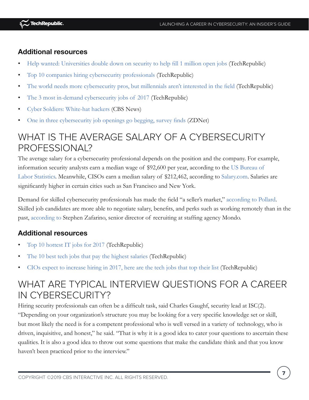- [Help wanted: Universities double down on security to help fill 1 million open jobs](https://www.techrepublic.com/article/help-wanted-universities-double-down-on-security-to-help-fill-1-million-open-jobs/) (TechRepublic)
- [Top 10 companies hiring cybersecurity professionals](https://www.techrepublic.com/article/top-10-companies-hiring-cybersecurity-professionals/) (TechRepublic)
- [The world needs more cybersecurity pros, but millennials aren't interested in the field](https://www.techrepublic.com/article/the-world-needs-more-cybersecurity-pros-but-millennials-arent-interested-in-the-field/) (TechRepublic)
- [The 3 most in-demand cybersecurity jobs of 2017](https://www.techrepublic.com/article/the-3-most-in-demand-cybersecurity-jobs-of-2017/) (TechRepublic)
- [Cyber Soldiers: White-hat hackers](https://www.cbsnews.com/news/cyber-soldiers-cbsn-on-assignment/) (CBS News)
- [One in three cybersecurity job openings go begging, survey finds](http://www.zdnet.com/article/one-in-three-cybersecurity-jobs-go-begging-survey-finds/) (ZDNet)

## WHAT IS THE AVERAGE SALARY OF A CYBERSECURITY PROFESSIONAL?

The average salary for a cybersecurity professional depends on the position and the company. For example, information security analysts earn a median wage of \$92,600 per year, according to the [US Bureau of](https://www.bls.gov/ooh/computer-and-information-technology/information-security-analysts.htm)  [Labor Statistics](https://www.bls.gov/ooh/computer-and-information-technology/information-security-analysts.htm). Meanwhile, CISOs earn a median salary of \$212,462, according to [Salary.com.](http://swz.salary.com/SalaryWizard/Chief-Information-Security-Officer-Salary-Details.aspx) Salaries are significantly higher in certain cities such as San Francisco and New York.

Demand for skilled cybersecurity professionals has made the field "a seller's market," [according to](https://www.techrepublic.com/article/5-reasons-your-company-cant-hire-a-cybersecurity-professional-and-what-you-can-do-to-fix-it/) Pollard. Skilled job candidates are more able to negotiate salary, benefits, and perks such as working remotely than in the past, [according to](https://www.techrepublic.com/article/the-3-most-in-demand-cybersecurity-jobs-of-2017/) Stephen Zafarino, senior director of recruiting at staffing agency Mondo.

## **Additional resources**

- [Top 10 hottest IT jobs for 2017](https://www.techrepublic.com/article/top-10-hottest-it-jobs-for-2017/) (TechRepublic)
- [The 10 best tech jobs that pay the highest salaries](https://www.techrepublic.com/article/the-10-best-tech-jobs-that-pay-the-highest-salaries/) (TechRepublic)
- [CIOs expect to increase hiring in 2017, here are the tech jobs that top their list](https://www.techrepublic.com/article/cios-expect-to-increase-hiring-in-2017-here-are-the-tech-jobs-that-top-their-list/) (TechRepublic)

## WHAT ARE TYPICAL INTERVIEW QUESTIONS FOR A CAREER IN CYBERSECURITY?

Hiring security professionals can often be a difficult task, said Charles Gaughf, security lead at ISC(2). "Depending on your organization's structure you may be looking for a very specific knowledge set or skill, but most likely the need is for a competent professional who is well versed in a variety of technology, who is driven, inquisitive, and honest," he said. "That is why it is a good idea to cater your questions to ascertain these qualities. It is also a good idea to throw out some questions that make the candidate think and that you know haven't been practiced prior to the interview."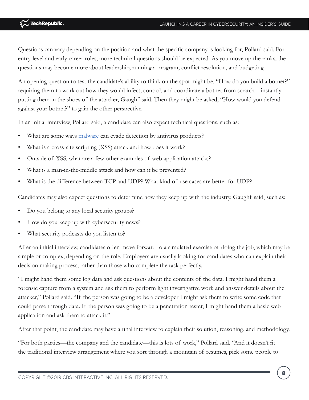Questions can vary depending on the position and what the specific company is looking for, Pollard said. For entry-level and early career roles, more technical questions should be expected. As you move up the ranks, the questions may become more about leadership, running a program, conflict resolution, and budgeting.

An opening question to test the candidate's ability to think on the spot might be, "How do you build a botnet?" requiring them to work out how they would infect, control, and coordinate a botnet from scratch—instantly putting them in the shoes of the attacker, Gaughf said. Then they might be asked, "How would you defend against your botnet?" to gain the other perspective.

In an initial interview, Pollard said, a candidate can also expect technical questions, such as:

- What are some ways [malware](http://www.techproresearch.com/downloads/quick-glossary-malware/) can evade detection by antivirus products?
- What is a cross-site scripting (XSS) attack and how does it work?
- Outside of XSS, what are a few other examples of web application attacks?
- What is a man-in-the-middle attack and how can it be prevented?
- What is the difference between TCP and UDP? What kind of use cases are better for UDP?

Candidates may also expect questions to determine how they keep up with the industry, Gaughf said, such as:

- Do you belong to any local security groups?
- How do you keep up with cybersecurity news?
- What security podcasts do you listen to?

After an initial interview, candidates often move forward to a simulated exercise of doing the job, which may be simple or complex, depending on the role. Employers are usually looking for candidates who can explain their decision making process, rather than those who complete the task perfectly.

"I might hand them some log data and ask questions about the contents of the data. I might hand them a forensic capture from a system and ask them to perform light investigative work and answer details about the attacker," Pollard said. "If the person was going to be a developer I might ask them to write some code that could parse through data. If the person was going to be a penetration tester, I might hand them a basic web application and ask them to attack it."

After that point, the candidate may have a final interview to explain their solution, reasoning, and methodology.

"For both parties—the company and the candidate—this is lots of work," Pollard said. "And it doesn't fit the traditional interview arrangement where you sort through a mountain of resumes, pick some people to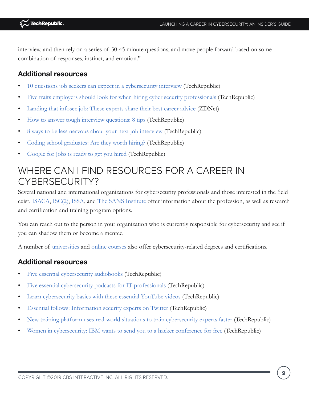interview, and then rely on a series of 30-45 minute questions, and move people forward based on some combination of responses, instinct, and emotion."

### **Additional resources**

- [10 questions job seekers can expect in a cybersecurity interview](https://www.techrepublic.com/article/10-questions-job-seekers-can-expect-in-a-cybersecurity-interview/) (TechRepublic)
- [Five traits employers should look for when hiring cyber security professionals](https://www.techrepublic.com/article/five-traits-employers-should-look-for-when-hiring-cyber-security-professionals/) (TechRepublic)
- [Landing that infosec job: These experts share their best career advice](http://www.zdnet.com/article/security-experts-explain-how-to-make-it-in-infosec/) (ZDNet)
- [How to answer tough interview questions: 8 tips](https://www.techrepublic.com/article/how-to-answer-tough-interview-questions-8-tips/) (TechRepublic)
- [8 ways to be less nervous about your next job interview](https://www.techrepublic.com/article/8-ways-to-be-less-nervous-about-your-next-job-interview/) (TechRepublic)
- [Coding school graduates: Are they worth hiring?](https://www.techrepublic.com/article/coding-school-graduates-are-they-worth-hiring/) (TechRepublic)
- [Google for Jobs is ready to get you hired](https://www.techrepublic.com/article/google-for-jobs-is-ready-to-get-you-hired/) (TechRepublic)

## WHERE CAN I FIND RESOURCES FOR A CAREER IN CYBERSECURITY?

Several national and international organizations for cybersecurity professionals and those interested in the field exist. [ISACA](https://www.isaca.org/), [ISC\(2\),](https://www.isc2.org/) [ISSA,](http://www.issa.org/) and [The SANS Institute](https://www.sans.org/) offer information about the profession, as well as research and certification and training program options.

You can reach out to the person in your organization who is currently responsible for cybersecurity and see if you can shadow them or become a mentee.

A number of [universities](https://www.techrepublic.com/article/10-programs-to-help-you-break-into-a-cybersecurity-career/) and [online courses](https://academy.techrepublic.com/deals/it-security) also offer cybersecurity-related degrees and certifications.

#### **Additional resources**

- [Five essential cybersecurity audiobooks](https://www.techrepublic.com/article/five-essential-cybersecurity-audiobooks/) (TechRepublic)
- [Five essential cybersecurity podcasts for IT professionals](https://www.techrepublic.com/article/five-essential-cybersecurity-podcasts-for-it-professionals/) (TechRepublic)
- [Learn cybersecurity basics with these essential YouTube videos](https://www.techrepublic.com/article/learn-cybersecurity-basics-with-these-essential-youtube-videos/) (TechRepublic)
- [Essential follows: Information security experts on Twitter](https://www.techrepublic.com/article/essential-follows-information-security-experts-on-twitter/) (TechRepublic)
- [New training platform uses real-world situations to train cybersecurity experts faster](https://www.techrepublic.com/article/new-cybersecurity-training-platform-seeks-to-fill-enterprise-skills-gaps/) (TechRepublic)
- [Women in cybersecurity: IBM wants to send you to a hacker conference for free](https://www.techrepublic.com/article/women-in-cybersecurity-ibm-wants-to-send-you-to-a-hacker-conference-for-free/) (TechRepublic)